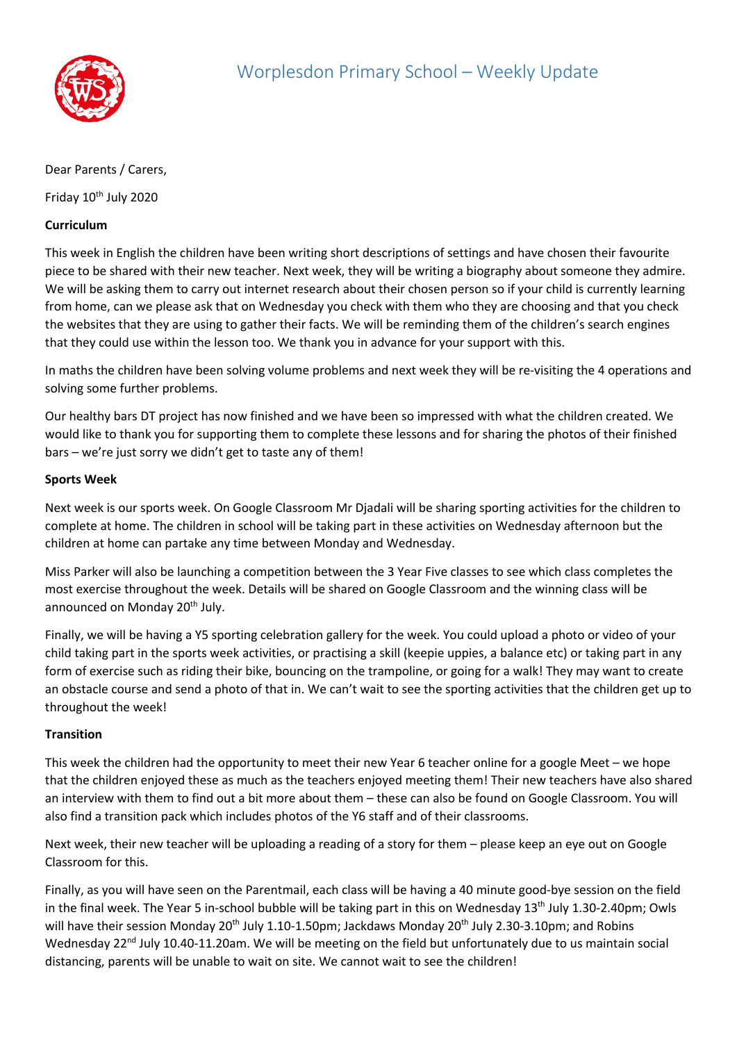

#### Dear Parents / Carers,

Friday 10<sup>th</sup> July 2020

## **Curriculum**

This week in English the children have been writing short descriptions of settings and have chosen their favourite piece to be shared with their new teacher. Next week, they will be writing a biography about someone they admire. We will be asking them to carry out internet research about their chosen person so if your child is currently learning from home, can we please ask that on Wednesday you check with them who they are choosing and that you check the websites that they are using to gather their facts. We will be reminding them of the children's search engines that they could use within the lesson too. We thank you in advance for your support with this.

In maths the children have been solving volume problems and next week they will be re-visiting the 4 operations and solving some further problems.

Our healthy bars DT project has now finished and we have been so impressed with what the children created. We would like to thank you for supporting them to complete these lessons and for sharing the photos of their finished bars – we're just sorry we didn't get to taste any of them!

## **Sports Week**

Next week is our sports week. On Google Classroom Mr Djadali will be sharing sporting activities for the children to complete at home. The children in school will be taking part in these activities on Wednesday afternoon but the children at home can partake any time between Monday and Wednesday.

Miss Parker will also be launching a competition between the 3 Year Five classes to see which class completes the most exercise throughout the week. Details will be shared on Google Classroom and the winning class will be announced on Monday 20<sup>th</sup> July.

Finally, we will be having a Y5 sporting celebration gallery for the week. You could upload a photo or video of your child taking part in the sports week activities, or practising a skill (keepie uppies, a balance etc) or taking part in any form of exercise such as riding their bike, bouncing on the trampoline, or going for a walk! They may want to create an obstacle course and send a photo of that in. We can't wait to see the sporting activities that the children get up to throughout the week!

# **Transition**

This week the children had the opportunity to meet their new Year 6 teacher online for a google Meet – we hope that the children enjoyed these as much as the teachers enjoyed meeting them! Their new teachers have also shared an interview with them to find out a bit more about them – these can also be found on Google Classroom. You will also find a transition pack which includes photos of the Y6 staff and of their classrooms.

Next week, their new teacher will be uploading a reading of a story for them – please keep an eye out on Google Classroom for this.

Finally, as you will have seen on the Parentmail, each class will be having a 40 minute good-bye session on the field in the final week. The Year 5 in-school bubble will be taking part in this on Wednesday 13<sup>th</sup> July 1.30-2.40pm; Owls will have their session Monday 20<sup>th</sup> July 1.10-1.50pm; Jackdaws Monday 20<sup>th</sup> July 2.30-3.10pm; and Robins Wednesday 22<sup>nd</sup> July 10.40-11.20am. We will be meeting on the field but unfortunately due to us maintain social distancing, parents will be unable to wait on site. We cannot wait to see the children!